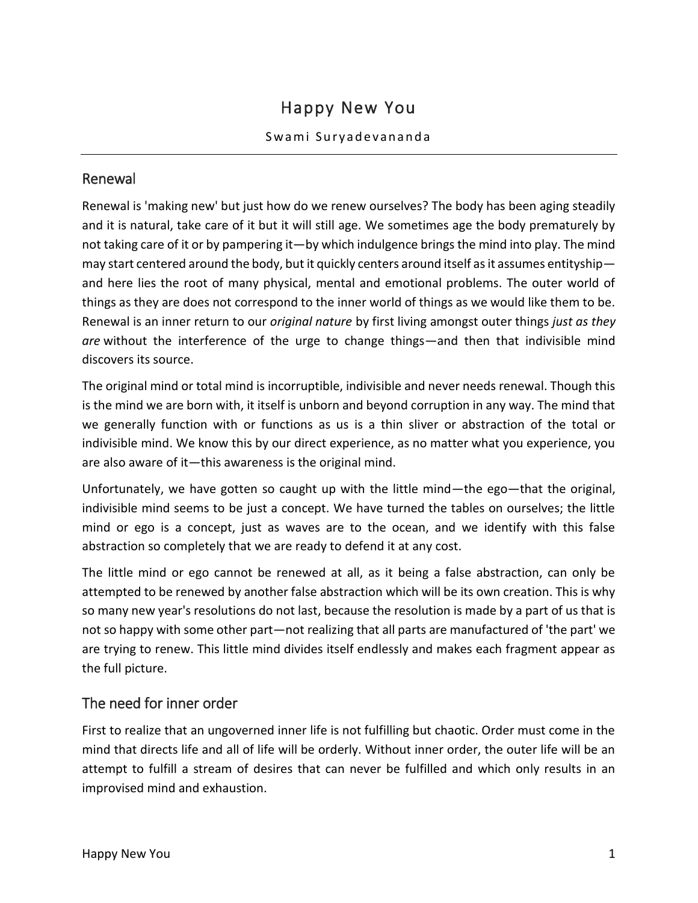# Happy New You

## Swami Suryadevananda

# Renewal

Renewal is 'making new' but just how do we renew ourselves? The body has been aging steadily and it is natural, take care of it but it will still age. We sometimes age the body prematurely by not taking care of it or by pampering it—by which indulgence brings the mind into play. The mind may start centered around the body, but it quickly centers around itself as it assumes entityship and here lies the root of many physical, mental and emotional problems. The outer world of things as they are does not correspond to the inner world of things as we would like them to be. Renewal is an inner return to our *original nature* by first living amongst outer things *just as they are* without the interference of the urge to change things—and then that indivisible mind discovers its source.

The original mind or total mind is incorruptible, indivisible and never needs renewal. Though this is the mind we are born with, it itself is unborn and beyond corruption in any way. The mind that we generally function with or functions as us is a thin sliver or abstraction of the total or indivisible mind. We know this by our direct experience, as no matter what you experience, you are also aware of it—this awareness is the original mind.

Unfortunately, we have gotten so caught up with the little mind—the ego—that the original, indivisible mind seems to be just a concept. We have turned the tables on ourselves; the little mind or ego is a concept, just as waves are to the ocean, and we identify with this false abstraction so completely that we are ready to defend it at any cost.

The little mind or ego cannot be renewed at all, as it being a false abstraction, can only be attempted to be renewed by another false abstraction which will be its own creation. This is why so many new year's resolutions do not last, because the resolution is made by a part of us that is not so happy with some other part—not realizing that all parts are manufactured of 'the part' we are trying to renew. This little mind divides itself endlessly and makes each fragment appear as the full picture.

# The need for inner order

First to realize that an ungoverned inner life is not fulfilling but chaotic. Order must come in the mind that directs life and all of life will be orderly. Without inner order, the outer life will be an attempt to fulfill a stream of desires that can never be fulfilled and which only results in an improvised mind and exhaustion.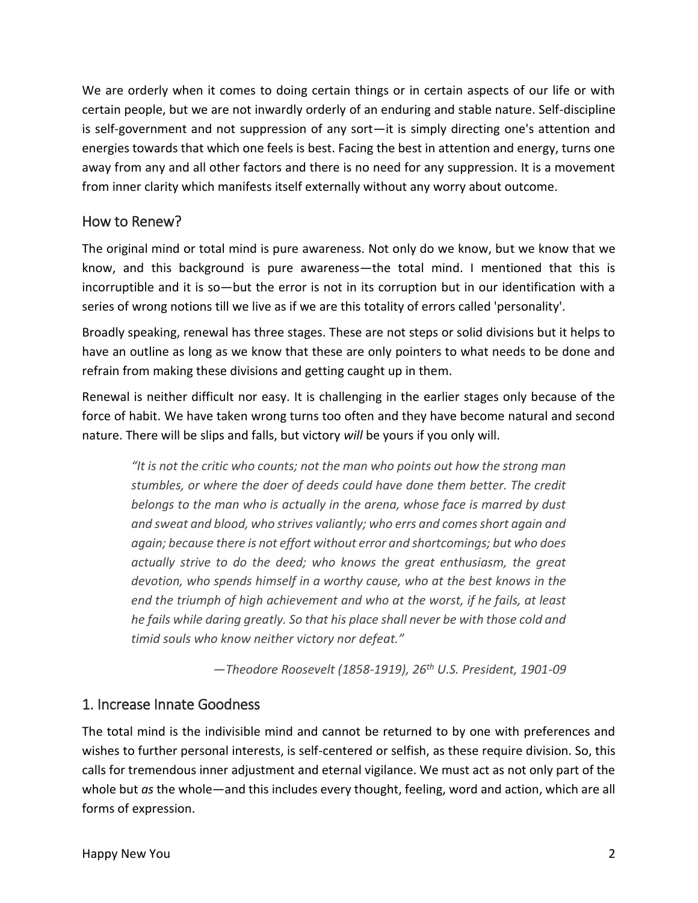We are orderly when it comes to doing certain things or in certain aspects of our life or with certain people, but we are not inwardly orderly of an enduring and stable nature. Self-discipline is self-government and not suppression of any sort—it is simply directing one's attention and energies towards that which one feels is best. Facing the best in attention and energy, turns one away from any and all other factors and there is no need for any suppression. It is a movement from inner clarity which manifests itself externally without any worry about outcome.

# How to Renew?

The original mind or total mind is pure awareness. Not only do we know, but we know that we know, and this background is pure awareness—the total mind. I mentioned that this is incorruptible and it is so—but the error is not in its corruption but in our identification with a series of wrong notions till we live as if we are this totality of errors called 'personality'.

Broadly speaking, renewal has three stages. These are not steps or solid divisions but it helps to have an outline as long as we know that these are only pointers to what needs to be done and refrain from making these divisions and getting caught up in them.

Renewal is neither difficult nor easy. It is challenging in the earlier stages only because of the force of habit. We have taken wrong turns too often and they have become natural and second nature. There will be slips and falls, but victory *will* be yours if you only will.

*"It is not the critic who counts; not the man who points out how the strong man stumbles, or where the doer of deeds could have done them better. The credit belongs to the man who is actually in the arena, whose face is marred by dust and sweat and blood, who strives valiantly; who errs and comes short again and again; because there is not effort without error and shortcomings; but who does actually strive to do the deed; who knows the great enthusiasm, the great devotion, who spends himself in a worthy cause, who at the best knows in the end the triumph of high achievement and who at the worst, if he fails, at least he fails while daring greatly. So that his place shall never be with those cold and timid souls who know neither victory nor defeat."*

*—Theodore Roosevelt (1858-1919), 26th U.S. President, 1901-09*

# 1. Increase Innate Goodness

The total mind is the indivisible mind and cannot be returned to by one with preferences and wishes to further personal interests, is self-centered or selfish, as these require division. So, this calls for tremendous inner adjustment and eternal vigilance. We must act as not only part of the whole but *as* the whole—and this includes every thought, feeling, word and action, which are all forms of expression.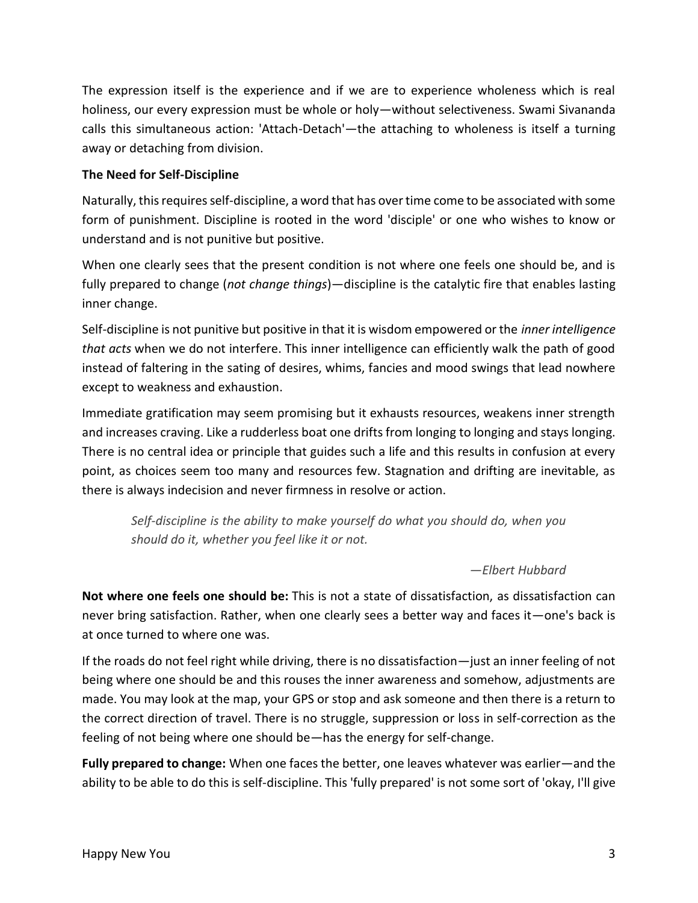The expression itself is the experience and if we are to experience wholeness which is real holiness, our every expression must be whole or holy—without selectiveness. Swami Sivananda calls this simultaneous action: 'Attach-Detach'—the attaching to wholeness is itself a turning away or detaching from division.

## **The Need for Self-Discipline**

Naturally, this requires self-discipline, a word that has over time come to be associated with some form of punishment. Discipline is rooted in the word 'disciple' or one who wishes to know or understand and is not punitive but positive.

When one clearly sees that the present condition is not where one feels one should be, and is fully prepared to change (*not change things*)—discipline is the catalytic fire that enables lasting inner change.

Self-discipline is not punitive but positive in that it is wisdom empowered or the *inner intelligence that acts* when we do not interfere. This inner intelligence can efficiently walk the path of good instead of faltering in the sating of desires, whims, fancies and mood swings that lead nowhere except to weakness and exhaustion.

Immediate gratification may seem promising but it exhausts resources, weakens inner strength and increases craving. Like a rudderless boat one drifts from longing to longing and stays longing. There is no central idea or principle that guides such a life and this results in confusion at every point, as choices seem too many and resources few. Stagnation and drifting are inevitable, as there is always indecision and never firmness in resolve or action.

*Self-discipline is the ability to make yourself do what you should do, when you should do it, whether you feel like it or not.*

*—Elbert Hubbard*

**Not where one feels one should be:** This is not a state of dissatisfaction, as dissatisfaction can never bring satisfaction. Rather, when one clearly sees a better way and faces it—one's back is at once turned to where one was.

If the roads do not feel right while driving, there is no dissatisfaction—just an inner feeling of not being where one should be and this rouses the inner awareness and somehow, adjustments are made. You may look at the map, your GPS or stop and ask someone and then there is a return to the correct direction of travel. There is no struggle, suppression or loss in self-correction as the feeling of not being where one should be—has the energy for self-change.

**Fully prepared to change:** When one faces the better, one leaves whatever was earlier—and the ability to be able to do this is self-discipline. This 'fully prepared' is not some sort of 'okay, I'll give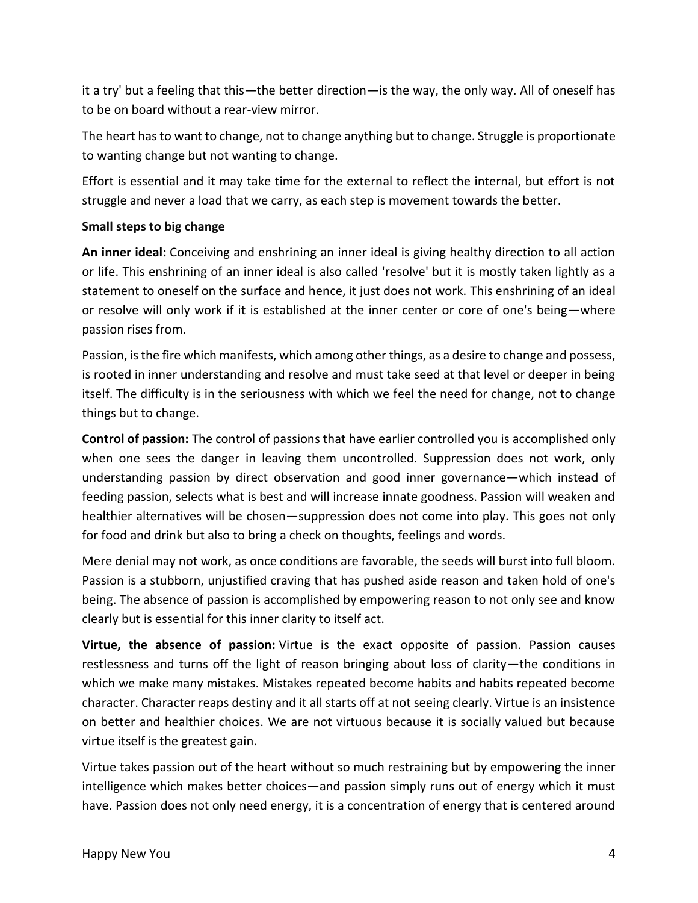it a try' but a feeling that this—the better direction—is the way, the only way. All of oneself has to be on board without a rear-view mirror.

The heart has to want to change, not to change anything but to change. Struggle is proportionate to wanting change but not wanting to change.

Effort is essential and it may take time for the external to reflect the internal, but effort is not struggle and never a load that we carry, as each step is movement towards the better.

## **Small steps to big change**

**An inner ideal:** Conceiving and enshrining an inner ideal is giving healthy direction to all action or life. This enshrining of an inner ideal is also called 'resolve' but it is mostly taken lightly as a statement to oneself on the surface and hence, it just does not work. This enshrining of an ideal or resolve will only work if it is established at the inner center or core of one's being—where passion rises from.

Passion, is the fire which manifests, which among other things, as a desire to change and possess, is rooted in inner understanding and resolve and must take seed at that level or deeper in being itself. The difficulty is in the seriousness with which we feel the need for change, not to change things but to change.

**Control of passion:** The control of passions that have earlier controlled you is accomplished only when one sees the danger in leaving them uncontrolled. Suppression does not work, only understanding passion by direct observation and good inner governance—which instead of feeding passion, selects what is best and will increase innate goodness. Passion will weaken and healthier alternatives will be chosen—suppression does not come into play. This goes not only for food and drink but also to bring a check on thoughts, feelings and words.

Mere denial may not work, as once conditions are favorable, the seeds will burst into full bloom. Passion is a stubborn, unjustified craving that has pushed aside reason and taken hold of one's being. The absence of passion is accomplished by empowering reason to not only see and know clearly but is essential for this inner clarity to itself act.

**Virtue, the absence of passion:** Virtue is the exact opposite of passion. Passion causes restlessness and turns off the light of reason bringing about loss of clarity—the conditions in which we make many mistakes. Mistakes repeated become habits and habits repeated become character. Character reaps destiny and it all starts off at not seeing clearly. Virtue is an insistence on better and healthier choices. We are not virtuous because it is socially valued but because virtue itself is the greatest gain.

Virtue takes passion out of the heart without so much restraining but by empowering the inner intelligence which makes better choices—and passion simply runs out of energy which it must have. Passion does not only need energy, it is a concentration of energy that is centered around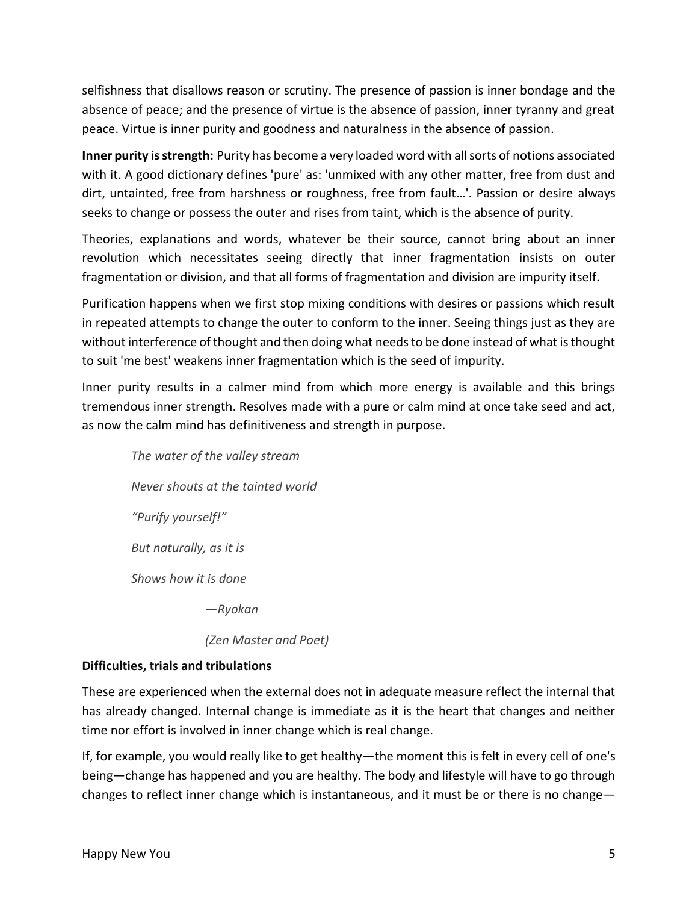selfishness that disallows reason or scrutiny. The presence of passion is inner bondage and the absence of peace; and the presence of virtue is the absence of passion, inner tyranny and great peace. Virtue is inner purity and goodness and naturalness in the absence of passion.

**Inner purity is strength:** Purity has become a very loaded word with all sorts of notions associated with it. A good dictionary defines 'pure' as: 'unmixed with any other matter, free from dust and dirt, untainted, free from harshness or roughness, free from fault…'. Passion or desire always seeks to change or possess the outer and rises from taint, which is the absence of purity.

Theories, explanations and words, whatever be their source, cannot bring about an inner revolution which necessitates seeing directly that inner fragmentation insists on outer fragmentation or division, and that all forms of fragmentation and division are impurity itself.

Purification happens when we first stop mixing conditions with desires or passions which result in repeated attempts to change the outer to conform to the inner. Seeing things just as they are without interference of thought and then doing what needs to be done instead of what is thought to suit 'me best' weakens inner fragmentation which is the seed of impurity.

Inner purity results in a calmer mind from which more energy is available and this brings tremendous inner strength. Resolves made with a pure or calm mind at once take seed and act, as now the calm mind has definitiveness and strength in purpose.

*The water of the valley stream Never shouts at the tainted world "Purify yourself!" But naturally, as it is Shows how it is done —Ryokan*

*(Zen Master and Poet)*

## **Difficulties, trials and tribulations**

These are experienced when the external does not in adequate measure reflect the internal that has already changed. Internal change is immediate as it is the heart that changes and neither time nor effort is involved in inner change which is real change.

If, for example, you would really like to get healthy—the moment this is felt in every cell of one's being—change has happened and you are healthy. The body and lifestyle will have to go through changes to reflect inner change which is instantaneous, and it must be or there is no change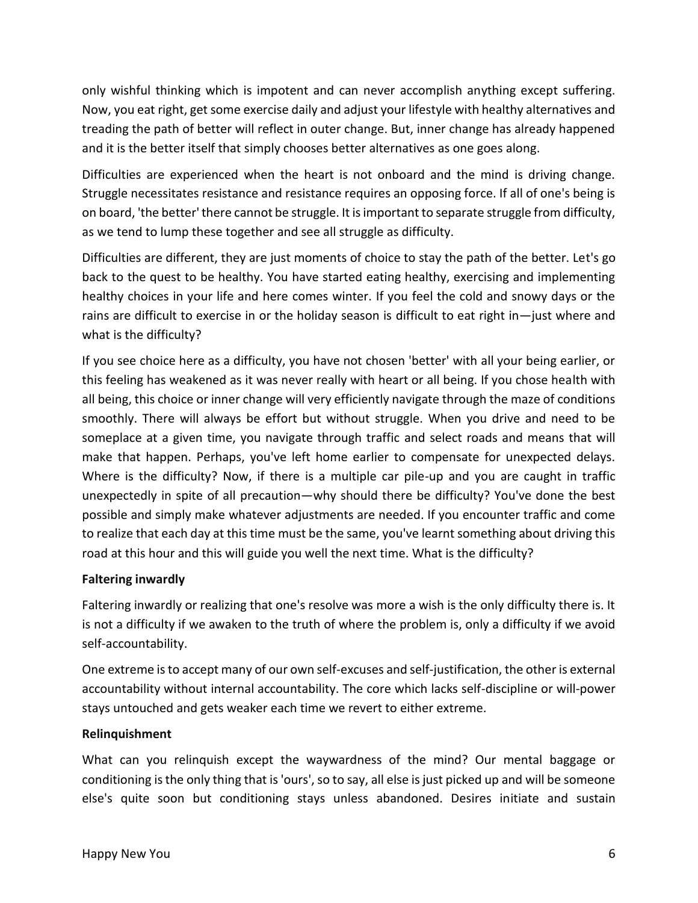only wishful thinking which is impotent and can never accomplish anything except suffering. Now, you eat right, get some exercise daily and adjust your lifestyle with healthy alternatives and treading the path of better will reflect in outer change. But, inner change has already happened and it is the better itself that simply chooses better alternatives as one goes along.

Difficulties are experienced when the heart is not onboard and the mind is driving change. Struggle necessitates resistance and resistance requires an opposing force. If all of one's being is on board, 'the better' there cannot be struggle. It is important to separate struggle from difficulty, as we tend to lump these together and see all struggle as difficulty.

Difficulties are different, they are just moments of choice to stay the path of the better. Let's go back to the quest to be healthy. You have started eating healthy, exercising and implementing healthy choices in your life and here comes winter. If you feel the cold and snowy days or the rains are difficult to exercise in or the holiday season is difficult to eat right in—just where and what is the difficulty?

If you see choice here as a difficulty, you have not chosen 'better' with all your being earlier, or this feeling has weakened as it was never really with heart or all being. If you chose health with all being, this choice or inner change will very efficiently navigate through the maze of conditions smoothly. There will always be effort but without struggle. When you drive and need to be someplace at a given time, you navigate through traffic and select roads and means that will make that happen. Perhaps, you've left home earlier to compensate for unexpected delays. Where is the difficulty? Now, if there is a multiple car pile-up and you are caught in traffic unexpectedly in spite of all precaution—why should there be difficulty? You've done the best possible and simply make whatever adjustments are needed. If you encounter traffic and come to realize that each day at this time must be the same, you've learnt something about driving this road at this hour and this will guide you well the next time. What is the difficulty?

## **Faltering inwardly**

Faltering inwardly or realizing that one's resolve was more a wish is the only difficulty there is. It is not a difficulty if we awaken to the truth of where the problem is, only a difficulty if we avoid self-accountability.

One extreme is to accept many of our own self-excuses and self-justification, the other is external accountability without internal accountability. The core which lacks self-discipline or will-power stays untouched and gets weaker each time we revert to either extreme.

## **Relinquishment**

What can you relinquish except the waywardness of the mind? Our mental baggage or conditioning is the only thing that is 'ours', so to say, all else is just picked up and will be someone else's quite soon but conditioning stays unless abandoned. Desires initiate and sustain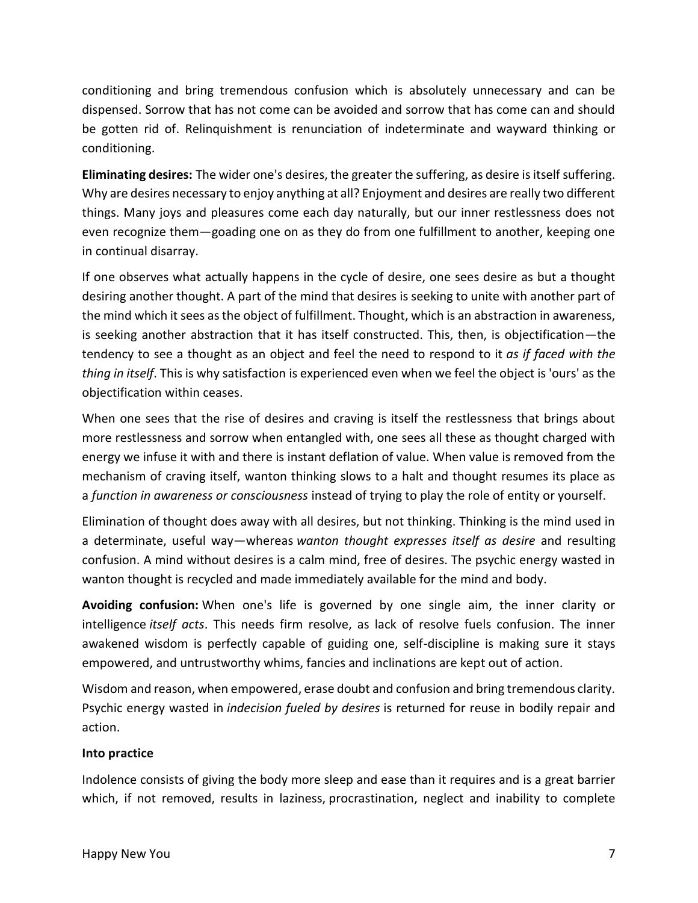conditioning and bring tremendous confusion which is absolutely unnecessary and can be dispensed. Sorrow that has not come can be avoided and sorrow that has come can and should be gotten rid of. Relinquishment is renunciation of indeterminate and wayward thinking or conditioning.

**Eliminating desires:** The wider one's desires, the greater the suffering, as desire is itself suffering. Why are desires necessary to enjoy anything at all? Enjoyment and desires are really two different things. Many joys and pleasures come each day naturally, but our inner restlessness does not even recognize them—goading one on as they do from one fulfillment to another, keeping one in continual disarray.

If one observes what actually happens in the cycle of desire, one sees desire as but a thought desiring another thought. A part of the mind that desires is seeking to unite with another part of the mind which it sees as the object of fulfillment. Thought, which is an abstraction in awareness, is seeking another abstraction that it has itself constructed. This, then, is objectification—the tendency to see a thought as an object and feel the need to respond to it *as if faced with the thing in itself*. This is why satisfaction is experienced even when we feel the object is 'ours' as the objectification within ceases.

When one sees that the rise of desires and craving is itself the restlessness that brings about more restlessness and sorrow when entangled with, one sees all these as thought charged with energy we infuse it with and there is instant deflation of value. When value is removed from the mechanism of craving itself, wanton thinking slows to a halt and thought resumes its place as a *function in awareness or consciousness* instead of trying to play the role of entity or yourself.

Elimination of thought does away with all desires, but not thinking. Thinking is the mind used in a determinate, useful way—whereas *wanton thought expresses itself as desire* and resulting confusion. A mind without desires is a calm mind, free of desires. The psychic energy wasted in wanton thought is recycled and made immediately available for the mind and body.

**Avoiding confusion:** When one's life is governed by one single aim, the inner clarity or intelligence *itself acts*. This needs firm resolve, as lack of resolve fuels confusion. The inner awakened wisdom is perfectly capable of guiding one, self-discipline is making sure it stays empowered, and untrustworthy whims, fancies and inclinations are kept out of action.

Wisdom and reason, when empowered, erase doubt and confusion and bring tremendous clarity. Psychic energy wasted in *indecision fueled by desires* is returned for reuse in bodily repair and action.

## **Into practice**

Indolence consists of giving the body more sleep and ease than it requires and is a great barrier which, if not removed, results in laziness, procrastination, neglect and inability to complete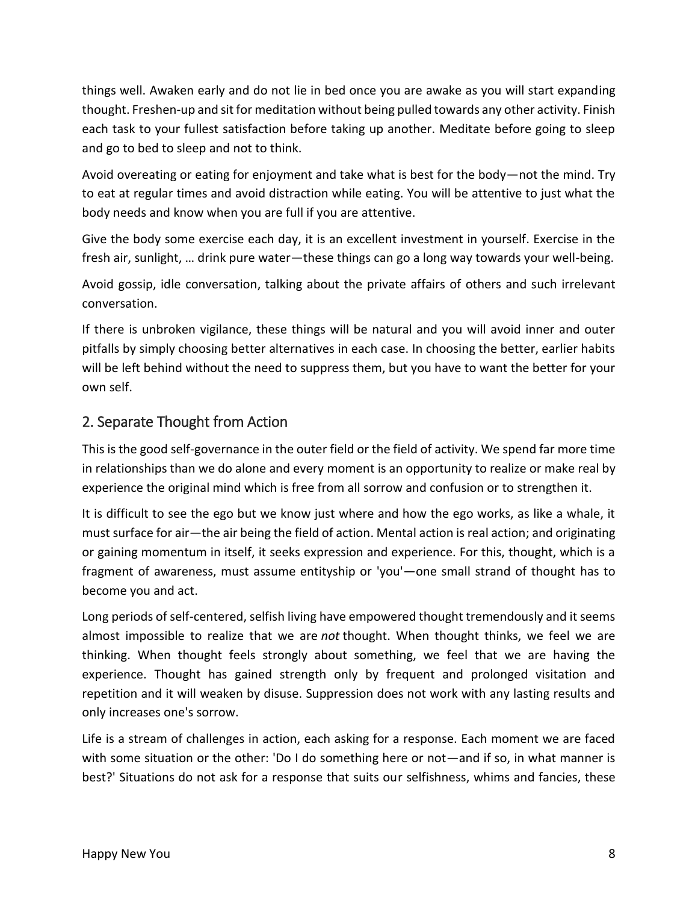things well. Awaken early and do not lie in bed once you are awake as you will start expanding thought. Freshen-up and sit for meditation without being pulled towards any other activity. Finish each task to your fullest satisfaction before taking up another. Meditate before going to sleep and go to bed to sleep and not to think.

Avoid overeating or eating for enjoyment and take what is best for the body—not the mind. Try to eat at regular times and avoid distraction while eating. You will be attentive to just what the body needs and know when you are full if you are attentive.

Give the body some exercise each day, it is an excellent investment in yourself. Exercise in the fresh air, sunlight, … drink pure water—these things can go a long way towards your well-being.

Avoid gossip, idle conversation, talking about the private affairs of others and such irrelevant conversation.

If there is unbroken vigilance, these things will be natural and you will avoid inner and outer pitfalls by simply choosing better alternatives in each case. In choosing the better, earlier habits will be left behind without the need to suppress them, but you have to want the better for your own self.

# 2. Separate Thought from Action

This is the good self-governance in the outer field or the field of activity. We spend far more time in relationships than we do alone and every moment is an opportunity to realize or make real by experience the original mind which is free from all sorrow and confusion or to strengthen it.

It is difficult to see the ego but we know just where and how the ego works, as like a whale, it must surface for air—the air being the field of action. Mental action is real action; and originating or gaining momentum in itself, it seeks expression and experience. For this, thought, which is a fragment of awareness, must assume entityship or 'you'—one small strand of thought has to become you and act.

Long periods of self-centered, selfish living have empowered thought tremendously and it seems almost impossible to realize that we are *not* thought. When thought thinks, we feel we are thinking. When thought feels strongly about something, we feel that we are having the experience. Thought has gained strength only by frequent and prolonged visitation and repetition and it will weaken by disuse. Suppression does not work with any lasting results and only increases one's sorrow.

Life is a stream of challenges in action, each asking for a response. Each moment we are faced with some situation or the other: 'Do I do something here or not—and if so, in what manner is best?' Situations do not ask for a response that suits our selfishness, whims and fancies, these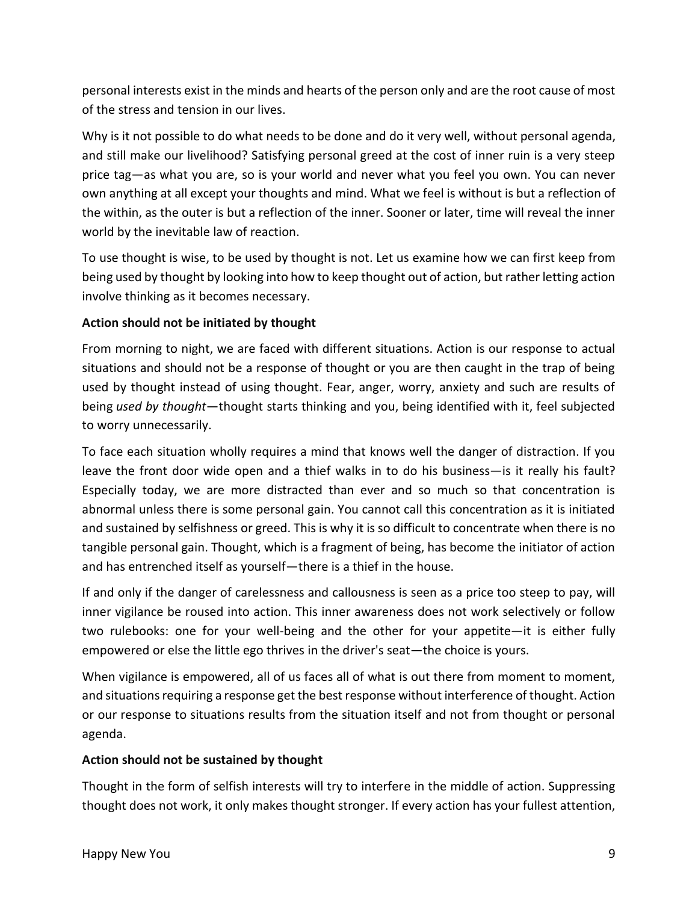personal interests exist in the minds and hearts of the person only and are the root cause of most of the stress and tension in our lives.

Why is it not possible to do what needs to be done and do it very well, without personal agenda, and still make our livelihood? Satisfying personal greed at the cost of inner ruin is a very steep price tag—as what you are, so is your world and never what you feel you own. You can never own anything at all except your thoughts and mind. What we feel is without is but a reflection of the within, as the outer is but a reflection of the inner. Sooner or later, time will reveal the inner world by the inevitable law of reaction.

To use thought is wise, to be used by thought is not. Let us examine how we can first keep from being used by thought by looking into how to keep thought out of action, but rather letting action involve thinking as it becomes necessary.

## **Action should not be initiated by thought**

From morning to night, we are faced with different situations. Action is our response to actual situations and should not be a response of thought or you are then caught in the trap of being used by thought instead of using thought. Fear, anger, worry, anxiety and such are results of being *used by thought*—thought starts thinking and you, being identified with it, feel subjected to worry unnecessarily.

To face each situation wholly requires a mind that knows well the danger of distraction. If you leave the front door wide open and a thief walks in to do his business—is it really his fault? Especially today, we are more distracted than ever and so much so that concentration is abnormal unless there is some personal gain. You cannot call this concentration as it is initiated and sustained by selfishness or greed. This is why it is so difficult to concentrate when there is no tangible personal gain. Thought, which is a fragment of being, has become the initiator of action and has entrenched itself as yourself—there is a thief in the house.

If and only if the danger of carelessness and callousness is seen as a price too steep to pay, will inner vigilance be roused into action. This inner awareness does not work selectively or follow two rulebooks: one for your well-being and the other for your appetite—it is either fully empowered or else the little ego thrives in the driver's seat—the choice is yours.

When vigilance is empowered, all of us faces all of what is out there from moment to moment, and situations requiring a response get the best response without interference of thought. Action or our response to situations results from the situation itself and not from thought or personal agenda.

## **Action should not be sustained by thought**

Thought in the form of selfish interests will try to interfere in the middle of action. Suppressing thought does not work, it only makes thought stronger. If every action has your fullest attention,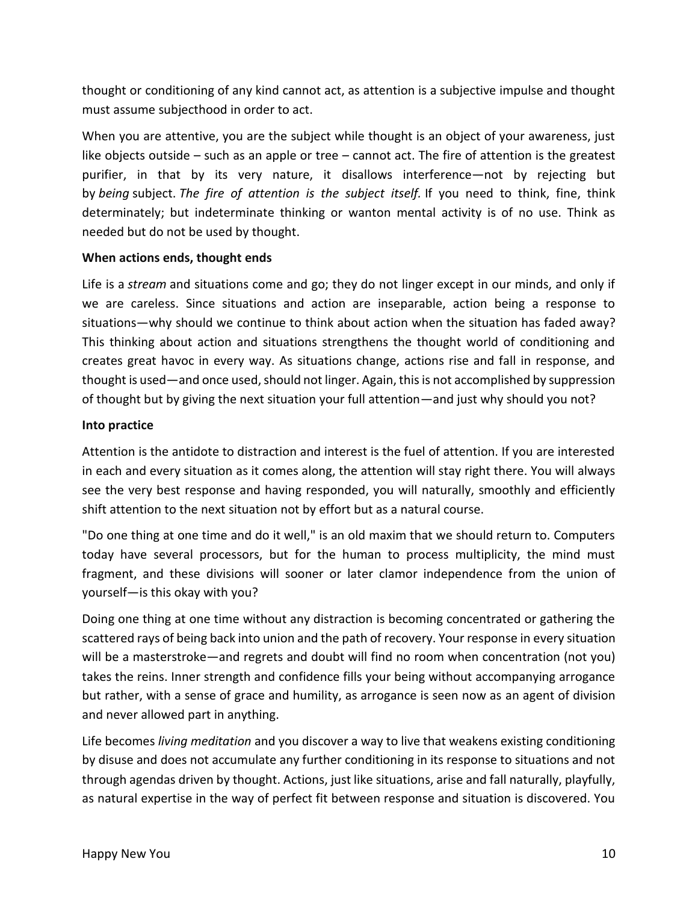thought or conditioning of any kind cannot act, as attention is a subjective impulse and thought must assume subjecthood in order to act.

When you are attentive, you are the subject while thought is an object of your awareness, just like objects outside – such as an apple or tree – cannot act. The fire of attention is the greatest purifier, in that by its very nature, it disallows interference—not by rejecting but by *being* subject. *The fire of attention is the subject itself.* If you need to think, fine, think determinately; but indeterminate thinking or wanton mental activity is of no use. Think as needed but do not be used by thought.

## **When actions ends, thought ends**

Life is a *stream* and situations come and go; they do not linger except in our minds, and only if we are careless. Since situations and action are inseparable, action being a response to situations—why should we continue to think about action when the situation has faded away? This thinking about action and situations strengthens the thought world of conditioning and creates great havoc in every way. As situations change, actions rise and fall in response, and thought is used—and once used, should not linger. Again, this is not accomplished by suppression of thought but by giving the next situation your full attention—and just why should you not?

#### **Into practice**

Attention is the antidote to distraction and interest is the fuel of attention. If you are interested in each and every situation as it comes along, the attention will stay right there. You will always see the very best response and having responded, you will naturally, smoothly and efficiently shift attention to the next situation not by effort but as a natural course.

"Do one thing at one time and do it well," is an old maxim that we should return to. Computers today have several processors, but for the human to process multiplicity, the mind must fragment, and these divisions will sooner or later clamor independence from the union of yourself—is this okay with you?

Doing one thing at one time without any distraction is becoming concentrated or gathering the scattered rays of being back into union and the path of recovery. Your response in every situation will be a masterstroke—and regrets and doubt will find no room when concentration (not you) takes the reins. Inner strength and confidence fills your being without accompanying arrogance but rather, with a sense of grace and humility, as arrogance is seen now as an agent of division and never allowed part in anything.

Life becomes *living meditation* and you discover a way to live that weakens existing conditioning by disuse and does not accumulate any further conditioning in its response to situations and not through agendas driven by thought. Actions, just like situations, arise and fall naturally, playfully, as natural expertise in the way of perfect fit between response and situation is discovered. You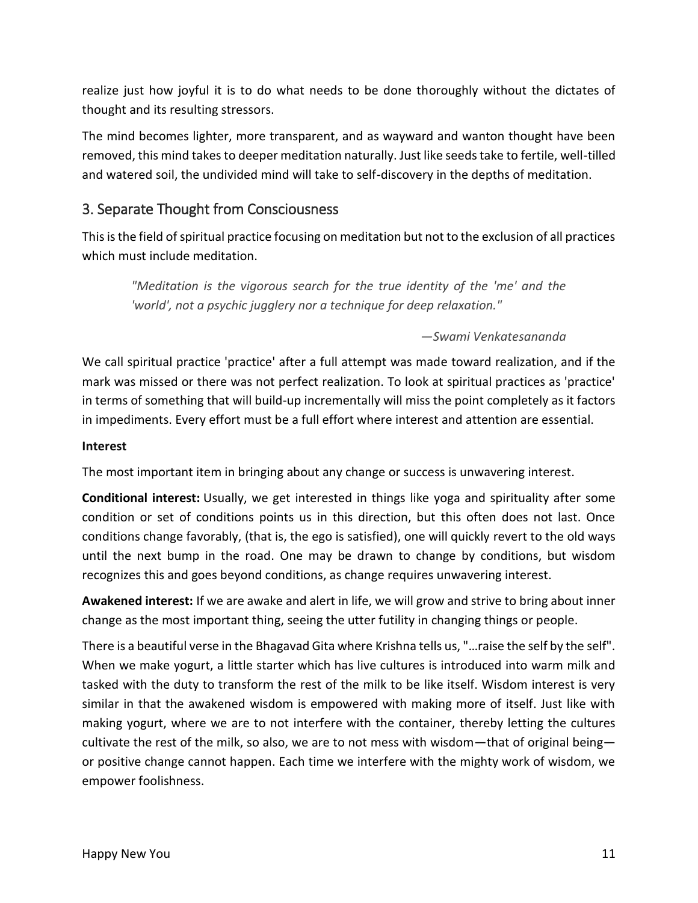realize just how joyful it is to do what needs to be done thoroughly without the dictates of thought and its resulting stressors.

The mind becomes lighter, more transparent, and as wayward and wanton thought have been removed, this mind takes to deeper meditation naturally. Just like seeds take to fertile, well-tilled and watered soil, the undivided mind will take to self-discovery in the depths of meditation.

# 3. Separate Thought from Consciousness

This is the field of spiritual practice focusing on meditation but not to the exclusion of all practices which must include meditation.

*"Meditation is the vigorous search for the true identity of the 'me' and the 'world', not a psychic jugglery nor a technique for deep relaxation."*

## *—Swami Venkatesananda*

We call spiritual practice 'practice' after a full attempt was made toward realization, and if the mark was missed or there was not perfect realization. To look at spiritual practices as 'practice' in terms of something that will build-up incrementally will miss the point completely as it factors in impediments. Every effort must be a full effort where interest and attention are essential.

## **Interest**

The most important item in bringing about any change or success is unwavering interest.

**Conditional interest:** Usually, we get interested in things like yoga and spirituality after some condition or set of conditions points us in this direction, but this often does not last. Once conditions change favorably, (that is, the ego is satisfied), one will quickly revert to the old ways until the next bump in the road. One may be drawn to change by conditions, but wisdom recognizes this and goes beyond conditions, as change requires unwavering interest.

**Awakened interest:** If we are awake and alert in life, we will grow and strive to bring about inner change as the most important thing, seeing the utter futility in changing things or people.

There is a beautiful verse in the Bhagavad Gita where Krishna tells us, "…raise the self by the self". When we make yogurt, a little starter which has live cultures is introduced into warm milk and tasked with the duty to transform the rest of the milk to be like itself. Wisdom interest is very similar in that the awakened wisdom is empowered with making more of itself. Just like with making yogurt, where we are to not interfere with the container, thereby letting the cultures cultivate the rest of the milk, so also, we are to not mess with wisdom—that of original being or positive change cannot happen. Each time we interfere with the mighty work of wisdom, we empower foolishness.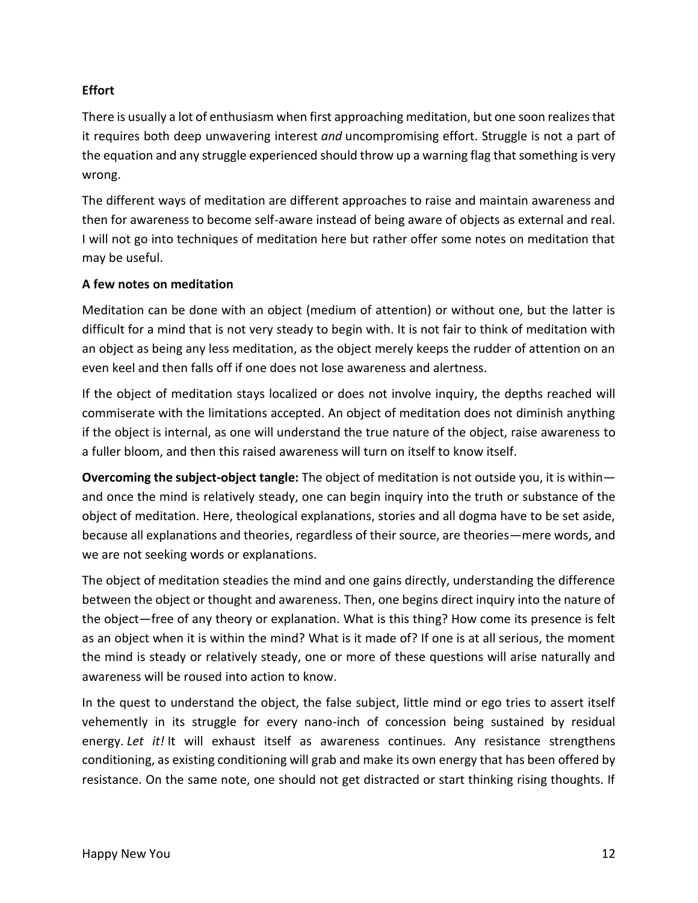## **Effort**

There is usually a lot of enthusiasm when first approaching meditation, but one soon realizes that it requires both deep unwavering interest *and* uncompromising effort. Struggle is not a part of the equation and any struggle experienced should throw up a warning flag that something is very wrong.

The different ways of meditation are different approaches to raise and maintain awareness and then for awareness to become self-aware instead of being aware of objects as external and real. I will not go into techniques of meditation here but rather offer some notes on meditation that may be useful.

## **A few notes on meditation**

Meditation can be done with an object (medium of attention) or without one, but the latter is difficult for a mind that is not very steady to begin with. It is not fair to think of meditation with an object as being any less meditation, as the object merely keeps the rudder of attention on an even keel and then falls off if one does not lose awareness and alertness.

If the object of meditation stays localized or does not involve inquiry, the depths reached will commiserate with the limitations accepted. An object of meditation does not diminish anything if the object is internal, as one will understand the true nature of the object, raise awareness to a fuller bloom, and then this raised awareness will turn on itself to know itself.

**Overcoming the subject-object tangle:** The object of meditation is not outside you, it is within and once the mind is relatively steady, one can begin inquiry into the truth or substance of the object of meditation. Here, theological explanations, stories and all dogma have to be set aside, because all explanations and theories, regardless of their source, are theories—mere words, and we are not seeking words or explanations.

The object of meditation steadies the mind and one gains directly, understanding the difference between the object or thought and awareness. Then, one begins direct inquiry into the nature of the object—free of any theory or explanation. What is this thing? How come its presence is felt as an object when it is within the mind? What is it made of? If one is at all serious, the moment the mind is steady or relatively steady, one or more of these questions will arise naturally and awareness will be roused into action to know.

In the quest to understand the object, the false subject, little mind or ego tries to assert itself vehemently in its struggle for every nano-inch of concession being sustained by residual energy. *Let it!* It will exhaust itself as awareness continues. Any resistance strengthens conditioning, as existing conditioning will grab and make its own energy that has been offered by resistance. On the same note, one should not get distracted or start thinking rising thoughts. If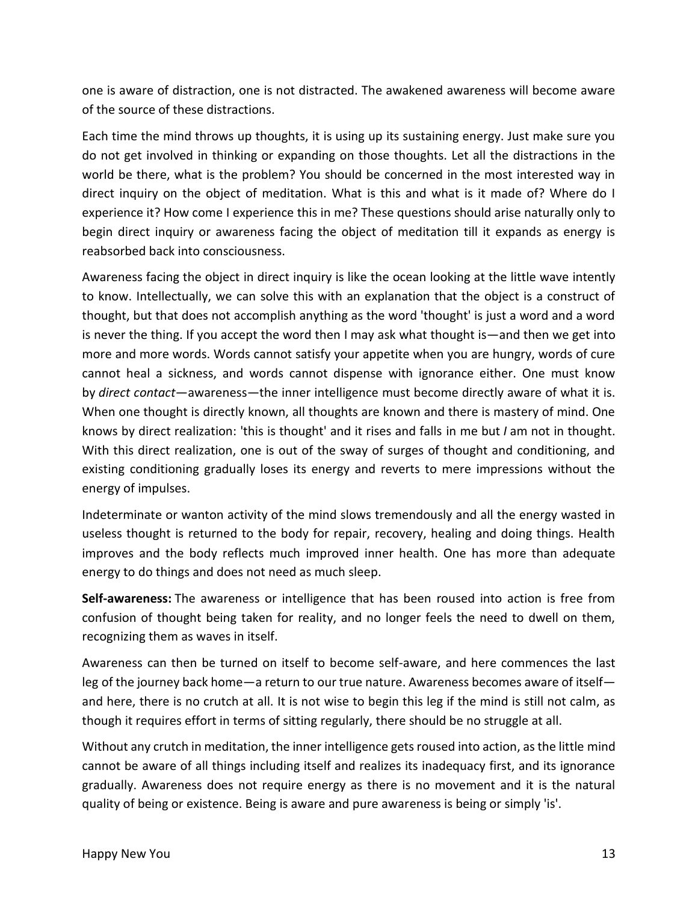one is aware of distraction, one is not distracted. The awakened awareness will become aware of the source of these distractions.

Each time the mind throws up thoughts, it is using up its sustaining energy. Just make sure you do not get involved in thinking or expanding on those thoughts. Let all the distractions in the world be there, what is the problem? You should be concerned in the most interested way in direct inquiry on the object of meditation. What is this and what is it made of? Where do I experience it? How come I experience this in me? These questions should arise naturally only to begin direct inquiry or awareness facing the object of meditation till it expands as energy is reabsorbed back into consciousness.

Awareness facing the object in direct inquiry is like the ocean looking at the little wave intently to know. Intellectually, we can solve this with an explanation that the object is a construct of thought, but that does not accomplish anything as the word 'thought' is just a word and a word is never the thing. If you accept the word then I may ask what thought is—and then we get into more and more words. Words cannot satisfy your appetite when you are hungry, words of cure cannot heal a sickness, and words cannot dispense with ignorance either. One must know by *direct contact*—awareness—the inner intelligence must become directly aware of what it is. When one thought is directly known, all thoughts are known and there is mastery of mind. One knows by direct realization: 'this is thought' and it rises and falls in me but *I* am not in thought. With this direct realization, one is out of the sway of surges of thought and conditioning, and existing conditioning gradually loses its energy and reverts to mere impressions without the energy of impulses.

Indeterminate or wanton activity of the mind slows tremendously and all the energy wasted in useless thought is returned to the body for repair, recovery, healing and doing things. Health improves and the body reflects much improved inner health. One has more than adequate energy to do things and does not need as much sleep.

**Self-awareness:** The awareness or intelligence that has been roused into action is free from confusion of thought being taken for reality, and no longer feels the need to dwell on them, recognizing them as waves in itself.

Awareness can then be turned on itself to become self-aware, and here commences the last leg of the journey back home—a return to our true nature. Awareness becomes aware of itself and here, there is no crutch at all. It is not wise to begin this leg if the mind is still not calm, as though it requires effort in terms of sitting regularly, there should be no struggle at all.

Without any crutch in meditation, the inner intelligence gets roused into action, as the little mind cannot be aware of all things including itself and realizes its inadequacy first, and its ignorance gradually. Awareness does not require energy as there is no movement and it is the natural quality of being or existence. Being is aware and pure awareness is being or simply 'is'.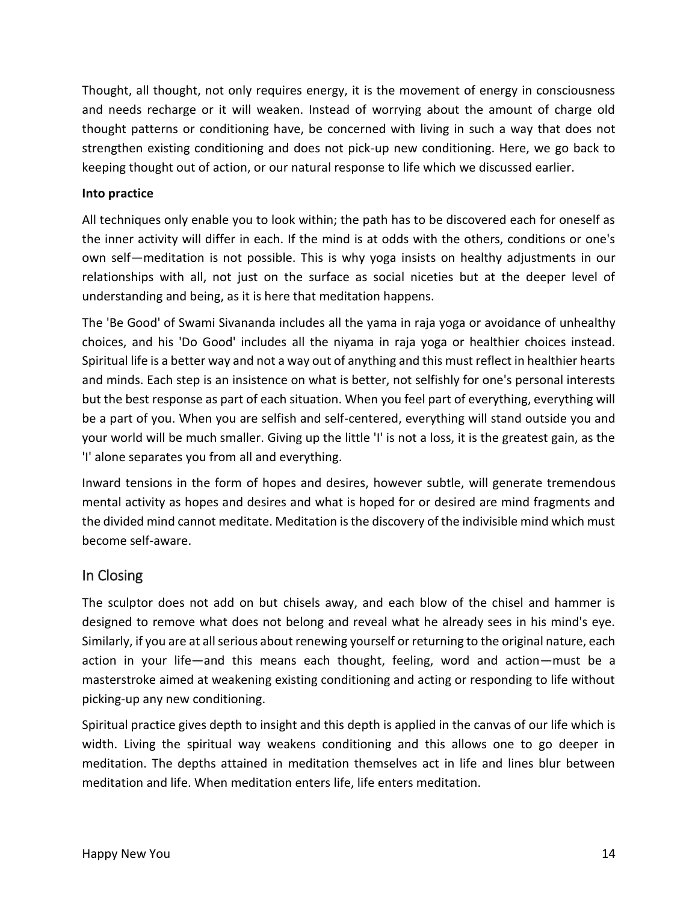Thought, all thought, not only requires energy, it is the movement of energy in consciousness and needs recharge or it will weaken. Instead of worrying about the amount of charge old thought patterns or conditioning have, be concerned with living in such a way that does not strengthen existing conditioning and does not pick-up new conditioning. Here, we go back to keeping thought out of action, or our natural response to life which we discussed earlier.

## **Into practice**

All techniques only enable you to look within; the path has to be discovered each for oneself as the inner activity will differ in each. If the mind is at odds with the others, conditions or one's own self—meditation is not possible. This is why yoga insists on healthy adjustments in our relationships with all, not just on the surface as social niceties but at the deeper level of understanding and being, as it is here that meditation happens.

The 'Be Good' of Swami Sivananda includes all the yama in raja yoga or avoidance of unhealthy choices, and his 'Do Good' includes all the niyama in raja yoga or healthier choices instead. Spiritual life is a better way and not a way out of anything and this must reflect in healthier hearts and minds. Each step is an insistence on what is better, not selfishly for one's personal interests but the best response as part of each situation. When you feel part of everything, everything will be a part of you. When you are selfish and self-centered, everything will stand outside you and your world will be much smaller. Giving up the little 'I' is not a loss, it is the greatest gain, as the 'I' alone separates you from all and everything.

Inward tensions in the form of hopes and desires, however subtle, will generate tremendous mental activity as hopes and desires and what is hoped for or desired are mind fragments and the divided mind cannot meditate. Meditation is the discovery of the indivisible mind which must become self-aware.

## In Closing

The sculptor does not add on but chisels away, and each blow of the chisel and hammer is designed to remove what does not belong and reveal what he already sees in his mind's eye. Similarly, if you are at all serious about renewing yourself or returning to the original nature, each action in your life—and this means each thought, feeling, word and action—must be a masterstroke aimed at weakening existing conditioning and acting or responding to life without picking-up any new conditioning.

Spiritual practice gives depth to insight and this depth is applied in the canvas of our life which is width. Living the spiritual way weakens conditioning and this allows one to go deeper in meditation. The depths attained in meditation themselves act in life and lines blur between meditation and life. When meditation enters life, life enters meditation.